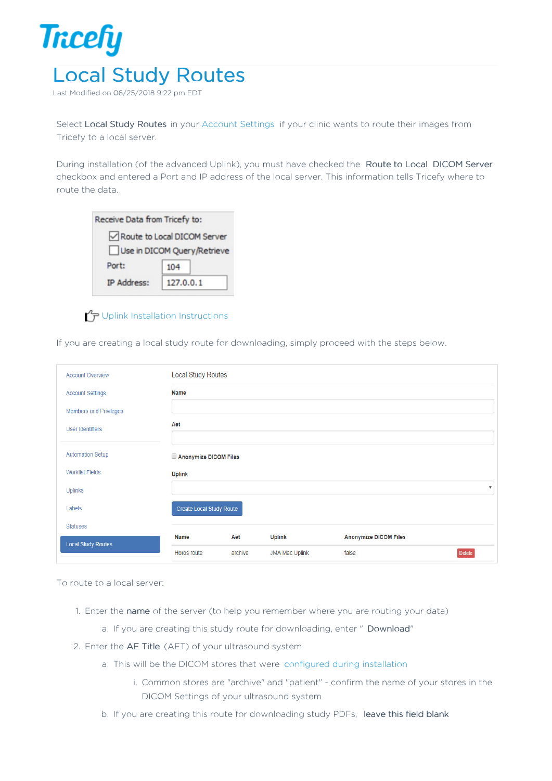

Last Modified on 06/25/2018 9:22 pm

Select Local Study Routes in your Account Settings if your clinic wants to route their images from Tricefy to a local server.

During installation (of the advanced Uplink), you must have checked the Route to Local DICOM Server checkbox and entered a Port and IP address of the local server. This information tells Tricefy where to route the data.

| Receive Data from Tricefy to: |           |  |
|-------------------------------|-----------|--|
| Route to Local DICOM Server   |           |  |
| Use in DICOM Query/Retrieve   |           |  |
| Port:                         | 104       |  |
| <b>IP Address:</b>            | 127.0.0.1 |  |

## $T$  Uplink Installation Instructions

If you are creating a local study route for downloading, simply proceed with the steps below.

| <b>Account Overview</b>       | <b>Local Study Routes</b>       |         |                       |                              |                         |
|-------------------------------|---------------------------------|---------|-----------------------|------------------------------|-------------------------|
| <b>Account Settings</b>       | <b>Name</b>                     |         |                       |                              |                         |
| <b>Members and Privileges</b> |                                 |         |                       |                              |                         |
| <b>User Identifiers</b>       | Aet                             |         |                       |                              |                         |
| <b>Automation Setup</b>       | Anonymize DICOM Files           |         |                       |                              |                         |
| <b>Worklist Fields</b>        | <b>Uplink</b>                   |         |                       |                              |                         |
| Uplinks                       |                                 |         |                       |                              | $\overline{\mathbf{v}}$ |
| Labels                        | <b>Create Local Study Route</b> |         |                       |                              |                         |
| <b>Statuses</b>               |                                 |         |                       |                              |                         |
| <b>Local Study Routes</b>     | Name                            | Aet     | <b>Uplink</b>         | <b>Anonymize DICOM Files</b> |                         |
|                               | Horos route                     | archive | <b>JMA Mac Uplink</b> | false                        | <b>Delete</b>           |

To route to a local server:

- 1. Enter the name of the server (to help you remember where you are routing your data)
	- a. If you are creating this study route for downloading, enter " Download"
- 2. Enter the AE Title (AET) of your ultrasound system
	- a. This will be the DICOM stores that were configured during installation
		- i. Common stores are "archive" and "patient" confirm the name of your stores in the DICOM Settings of your ultrasound system
	- b. If you are creating this route for downloading study PDFs, leave this field blank